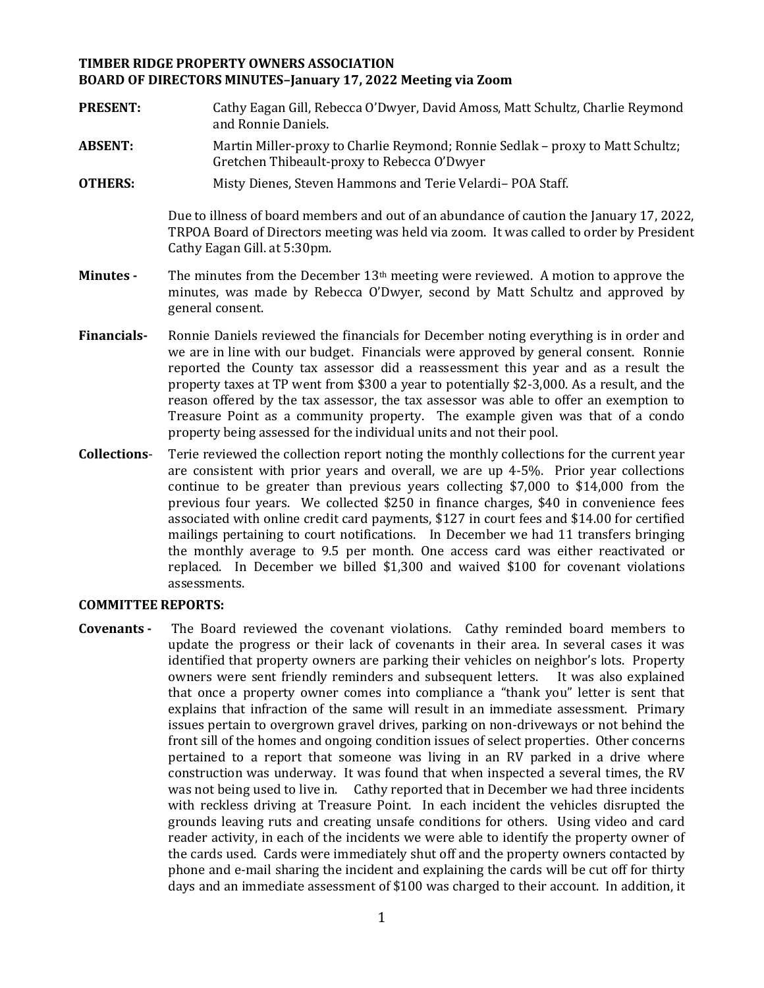## **TIMBER RIDGE PROPERTY OWNERS ASSOCIATION BOARD OF DIRECTORS MINUTES–January 17, 2022 Meeting via Zoom**

- **PRESENT:** Cathy Eagan Gill, Rebecca O'Dwyer, David Amoss, Matt Schultz, Charlie Reymond and Ronnie Daniels.
- **ABSENT:** Martin Miller-proxy to Charlie Reymond; Ronnie Sedlak proxy to Matt Schultz; Gretchen Thibeault-proxy to Rebecca O'Dwyer
- **OTHERS:** Misty Dienes, Steven Hammons and Terie Velardi– POA Staff.

Due to illness of board members and out of an abundance of caution the January 17, 2022, TRPOA Board of Directors meeting was held via zoom. It was called to order by President Cathy Eagan Gill. at 5:30pm.

- **Minutes -** The minutes from the December 13th meeting were reviewed. A motion to approve the minutes, was made by Rebecca O'Dwyer, second by Matt Schultz and approved by general consent.
- **Financials-** Ronnie Daniels reviewed the financials for December noting everything is in order and we are in line with our budget. Financials were approved by general consent. Ronnie reported the County tax assessor did a reassessment this year and as a result the property taxes at TP went from \$300 a year to potentially \$2-3,000. As a result, and the reason offered by the tax assessor, the tax assessor was able to offer an exemption to Treasure Point as a community property. The example given was that of a condo property being assessed for the individual units and not their pool.
- **Collections** Terie reviewed the collection report noting the monthly collections for the current year are consistent with prior years and overall, we are up 4-5%. Prior year collections continue to be greater than previous years collecting \$7,000 to \$14,000 from the previous four years. We collected \$250 in finance charges, \$40 in convenience fees associated with online credit card payments, \$127 in court fees and \$14.00 for certified mailings pertaining to court notifications. In December we had 11 transfers bringing the monthly average to 9.5 per month. One access card was either reactivated or replaced. In December we billed \$1,300 and waived \$100 for covenant violations assessments.

#### **COMMITTEE REPORTS:**

**Covenants -** The Board reviewed the covenant violations. Cathy reminded board members to update the progress or their lack of covenants in their area. In several cases it was identified that property owners are parking their vehicles on neighbor's lots. Property owners were sent friendly reminders and subsequent letters. It was also explained that once a property owner comes into compliance a "thank you" letter is sent that explains that infraction of the same will result in an immediate assessment. Primary issues pertain to overgrown gravel drives, parking on non-driveways or not behind the front sill of the homes and ongoing condition issues of select properties. Other concerns pertained to a report that someone was living in an RV parked in a drive where construction was underway. It was found that when inspected a several times, the RV was not being used to live in. Cathy reported that in December we had three incidents with reckless driving at Treasure Point. In each incident the vehicles disrupted the grounds leaving ruts and creating unsafe conditions for others. Using video and card reader activity, in each of the incidents we were able to identify the property owner of the cards used. Cards were immediately shut off and the property owners contacted by phone and e-mail sharing the incident and explaining the cards will be cut off for thirty days and an immediate assessment of \$100 was charged to their account. In addition, it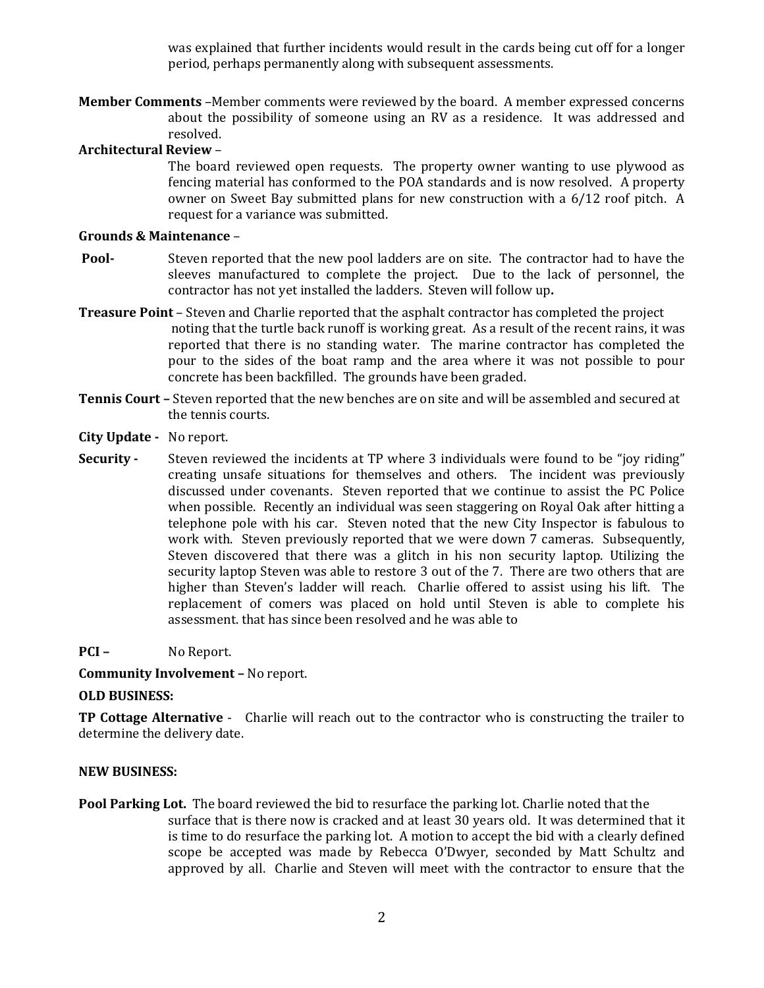was explained that further incidents would result in the cards being cut off for a longer period, perhaps permanently along with subsequent assessments.

**Member Comments** –Member comments were reviewed by the board. A member expressed concerns about the possibility of someone using an RV as a residence. It was addressed and resolved.

## **Architectural Review** –

The board reviewed open requests. The property owner wanting to use plywood as fencing material has conformed to the POA standards and is now resolved. A property owner on Sweet Bay submitted plans for new construction with a 6/12 roof pitch. A request for a variance was submitted.

#### **Grounds & Maintenance** –

- **Pool-** Steven reported that the new pool ladders are on site. The contractor had to have the sleeves manufactured to complete the project. Due to the lack of personnel, the contractor has not yet installed the ladders. Steven will follow up**.**
- **Treasure Point** Steven and Charlie reported that the asphalt contractor has completed the project noting that the turtle back runoff is working great. As a result of the recent rains, it was reported that there is no standing water. The marine contractor has completed the pour to the sides of the boat ramp and the area where it was not possible to pour concrete has been backfilled. The grounds have been graded.
- **Tennis Court –** Steven reported that the new benches are on site and will be assembled and secured at the tennis courts.
- **City Update -** No report.
- **Security -** Steven reviewed the incidents at TP where 3 individuals were found to be "joy riding" creating unsafe situations for themselves and others. The incident was previously discussed under covenants. Steven reported that we continue to assist the PC Police when possible. Recently an individual was seen staggering on Royal Oak after hitting a telephone pole with his car. Steven noted that the new City Inspector is fabulous to work with. Steven previously reported that we were down 7 cameras. Subsequently, Steven discovered that there was a glitch in his non security laptop. Utilizing the security laptop Steven was able to restore 3 out of the 7. There are two others that are higher than Steven's ladder will reach. Charlie offered to assist using his lift. The replacement of comers was placed on hold until Steven is able to complete his assessment. that has since been resolved and he was able to

## **PCI –** No Report.

**Community Involvement –** No report.

## **OLD BUSINESS:**

**TP Cottage Alternative** - Charlie will reach out to the contractor who is constructing the trailer to determine the delivery date.

#### **NEW BUSINESS:**

**Pool Parking Lot.** The board reviewed the bid to resurface the parking lot. Charlie noted that the surface that is there now is cracked and at least 30 years old. It was determined that it is time to do resurface the parking lot. A motion to accept the bid with a clearly defined scope be accepted was made by Rebecca O'Dwyer, seconded by Matt Schultz and approved by all. Charlie and Steven will meet with the contractor to ensure that the